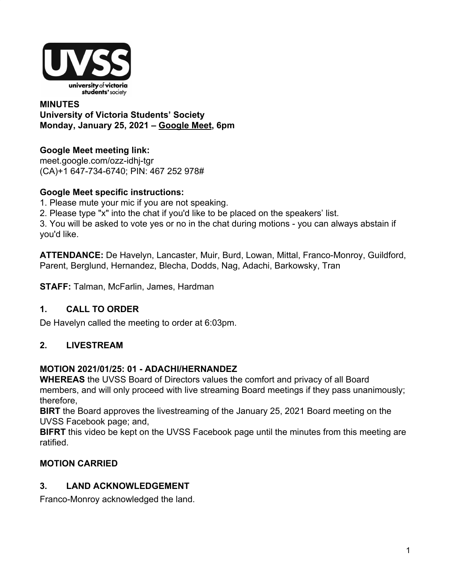

## **MINUTES University of Victoria Students' Society Monday, January 25, 2021 – [Google Meet](http://meet.google.com/ozz-idhj-tgr), 6pm**

# **Google Meet meeting link:**

[meet.google.com/ozz-idhj-tgr](https://meet.google.com/ozz-idhj-tgr?hs=122&authuser=2) (CA)+1 647-734-6740; PIN: 467 252 978#

## **Google Meet specific instructions:**

1. Please mute your mic if you are not speaking.

2. Please type "x" into the chat if you'd like to be placed on the speakers' list.

3. You will be asked to vote yes or no in the chat during motions - you can always abstain if you'd like.

**ATTENDANCE:** De Havelyn, Lancaster, Muir, Burd, Lowan, Mittal, Franco-Monroy, Guildford, Parent, Berglund, Hernandez, Blecha, Dodds, Nag, Adachi, Barkowsky, Tran

**STAFF:** Talman, McFarlin, James, Hardman

# **1. CALL TO ORDER**

De Havelyn called the meeting to order at 6:03pm.

# **2. LIVESTREAM**

## **MOTION 2021/01/25: 01 - ADACHI/HERNANDEZ**

**WHEREAS** the UVSS Board of Directors values the comfort and privacy of all Board members, and will only proceed with live streaming Board meetings if they pass unanimously; therefore,

**BIRT** the Board approves the livestreaming of the January 25, 2021 Board meeting on the UVSS Facebook page; and,

**BIFRT** this video be kept on the UVSS Facebook page until the minutes from this meeting are ratified.

# **MOTION CARRIED**

# **3. LAND ACKNOWLEDGEMENT**

Franco-Monroy acknowledged the land.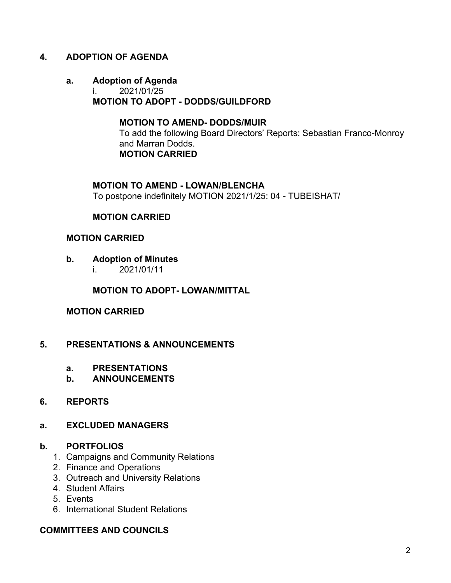## **4. ADOPTION OF AGENDA**

# **a. Adoption of Agenda**

i. 2021/01/25 **MOTION TO ADOPT - DODDS/GUILDFORD**

## **MOTION TO AMEND- DODDS/MUIR**

To add the following Board Directors' Reports: Sebastian Franco-Monroy and Marran Dodds. **MOTION CARRIED**

#### **MOTION TO AMEND - LOWAN/BLENCHA**

To postpone indefinitely MOTION 2021/1/25: 04 - TUBEISHAT/

### **MOTION CARRIED**

#### **MOTION CARRIED**

- **b. Adoption of Minutes**
	- i. 2021/01/11

### **MOTION TO ADOPT- LOWAN/MITTAL**

### **MOTION CARRIED**

### **5. PRESENTATIONS & ANNOUNCEMENTS**

- **a. PRESENTATIONS**
- **b. ANNOUNCEMENTS**

### **6. REPORTS**

### **a. EXCLUDED MANAGERS**

### **b. PORTFOLIOS**

- 1. Campaigns and Community Relations
- 2. Finance and Operations
- 3. Outreach and University Relations
- 4. Student Affairs
- 5. Events
- 6. International Student Relations

## **COMMITTEES AND COUNCILS**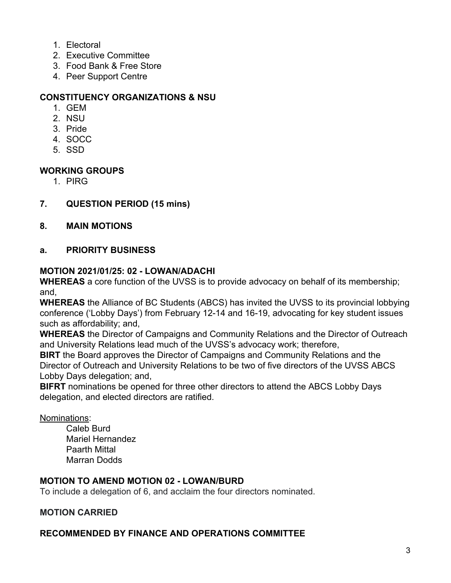- 1. Electoral
- 2. Executive Committee
- 3. Food Bank & Free Store
- 4. Peer Support Centre

## **CONSTITUENCY ORGANIZATIONS & NSU**

- 1. GEM
- 2. NSU
- 3. Pride
- 4. SOCC
- 5. SSD

### **WORKING GROUPS**

1. PIRG

## **7. QUESTION PERIOD (15 mins)**

**8. MAIN MOTIONS**

### **a. PRIORITY BUSINESS**

### **MOTION 2021/01/25: 02 - LOWAN/ADACHI**

**WHEREAS** a core function of the UVSS is to provide advocacy on behalf of its membership; and,

**WHEREAS** the Alliance of BC Students (ABCS) has invited the UVSS to its provincial lobbying conference ('Lobby Days') from February 12-14 and 16-19, advocating for key student issues such as affordability; and,

**WHEREAS** the Director of Campaigns and Community Relations and the Director of Outreach and University Relations lead much of the UVSS's advocacy work; therefore,

**BIRT** the Board approves the Director of Campaigns and Community Relations and the Director of Outreach and University Relations to be two of five directors of the UVSS ABCS Lobby Days delegation; and,

**BIFRT** nominations be opened for three other directors to attend the ABCS Lobby Days delegation, and elected directors are ratified.

### Nominations:

Caleb Burd Mariel Hernandez Paarth Mittal Marran Dodds

## **MOTION TO AMEND MOTION 02 - LOWAN/BURD**

To include a delegation of 6, and acclaim the four directors nominated.

### **MOTION CARRIED**

## **RECOMMENDED BY FINANCE AND OPERATIONS COMMITTEE**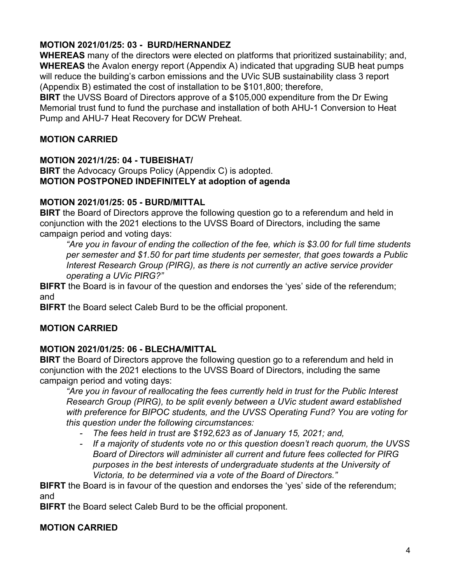# **MOTION 2021/01/25: 03 - BURD/HERNANDEZ**

**WHEREAS** many of the directors were elected on platforms that prioritized sustainability; and, **WHEREAS** the Avalon energy report (Appendix A) indicated that upgrading SUB heat pumps will reduce the building's carbon emissions and the UVic SUB sustainability class 3 report (Appendix B) estimated the cost of installation to be \$101,800; therefore,

**BIRT** the UVSS Board of Directors approve of a \$105,000 expenditure from the Dr Ewing Memorial trust fund to fund the purchase and installation of both AHU-1 Conversion to Heat Pump and AHU-7 Heat Recovery for DCW Preheat.

## **MOTION CARRIED**

### **MOTION 2021/1/25: 04 - TUBEISHAT/**

**BIRT** the Advocacy Groups Policy (Appendix C) is adopted. **MOTION POSTPONED INDEFINITELY at adoption of agenda**

### **MOTION 2021/01/25: 05 - BURD/MITTAL**

**BIRT** the Board of Directors approve the following question go to a referendum and held in conjunction with the 2021 elections to the UVSS Board of Directors, including the same campaign period and voting days:

*"Are you in favour of ending the collection of the fee, which is \$3.00 for full time students per semester and \$1.50 for part time students per semester, that goes towards a Public Interest Research Group (PIRG), as there is not currently an active service provider operating a UVic PIRG?"*

**BIFRT** the Board is in favour of the question and endorses the 'yes' side of the referendum; and

**BIFRT** the Board select Caleb Burd to be the official proponent.

## **MOTION CARRIED**

## **MOTION 2021/01/25: 06 - BLECHA/MITTAL**

**BIRT** the Board of Directors approve the following question go to a referendum and held in conjunction with the 2021 elections to the UVSS Board of Directors, including the same campaign period and voting days:

*"Are you in favour of reallocating the fees currently held in trust for the Public Interest Research Group (PIRG), to be split evenly between a UVic student award established with preference for BIPOC students, and the UVSS Operating Fund? You are voting for this question under the following circumstances:*

- *- The fees held in trust are \$192,623 as of January 15, 2021; and,*
- *- If a majority of students vote no or this question doesn't reach quorum, the UVSS Board of Directors will administer all current and future fees collected for PIRG purposes in the best interests of undergraduate students at the University of Victoria, to be determined via a vote of the Board of Directors."*

**BIFRT** the Board is in favour of the question and endorses the 'yes' side of the referendum; and

**BIFRT** the Board select Caleb Burd to be the official proponent.

## **MOTION CARRIED**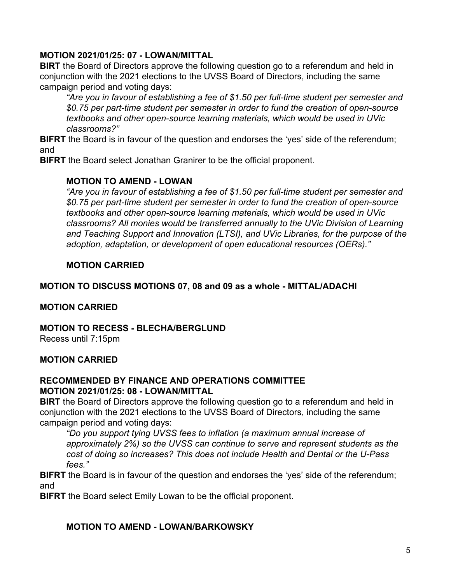## **MOTION 2021/01/25: 07 - LOWAN/MITTAL**

**BIRT** the Board of Directors approve the following question go to a referendum and held in conjunction with the 2021 elections to the UVSS Board of Directors, including the same campaign period and voting days:

*"Are you in favour of establishing a fee of \$1.50 per full-time student per semester and \$0.75 per part-time student per semester in order to fund the creation of open-source textbooks and other open-source learning materials, which would be used in UVic classrooms?"*

**BIFRT** the Board is in favour of the question and endorses the 'yes' side of the referendum; and

**BIFRT** the Board select Jonathan Granirer to be the official proponent.

## **MOTION TO AMEND - LOWAN**

*"Are you in favour of establishing a fee of \$1.50 per full-time student per semester and \$0.75 per part-time student per semester in order to fund the creation of open-source textbooks and other open-source learning materials, which would be used in UVic classrooms? All monies would be transferred annually to the UVic Division of Learning and Teaching Support and Innovation (LTSI), and UVic Libraries, for the purpose of the adoption, adaptation, or development of open educational resources (OERs)."*

## **MOTION CARRIED**

## **MOTION TO DISCUSS MOTIONS 07, 08 and 09 as a whole - MITTAL/ADACHI**

## **MOTION CARRIED**

**MOTION TO RECESS - BLECHA/BERGLUND**

Recess until 7:15pm

# **MOTION CARRIED**

### **RECOMMENDED BY FINANCE AND OPERATIONS COMMITTEE MOTION 2021/01/25: 08 - LOWAN/MITTAL**

**BIRT** the Board of Directors approve the following question go to a referendum and held in conjunction with the 2021 elections to the UVSS Board of Directors, including the same campaign period and voting days:

*"Do you support tying UVSS fees to inflation (a maximum annual increase of approximately 2%) so the UVSS can continue to serve and represent students as the cost of doing so increases? This does not include Health and Dental or the U-Pass fees."*

**BIFRT** the Board is in favour of the question and endorses the 'yes' side of the referendum; and

**BIFRT** the Board select Emily Lowan to be the official proponent.

## **MOTION TO AMEND - LOWAN/BARKOWSKY**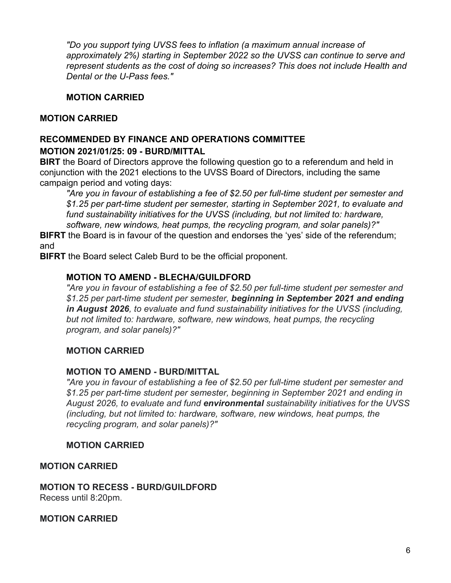*"Do you support tying UVSS fees to inflation (a maximum annual increase of approximately 2%) starting in September 2022 so the UVSS can continue to serve and represent students as the cost of doing so increases? This does not include Health and Dental or the U-Pass fees."*

## **MOTION CARRIED**

## **MOTION CARRIED**

### **RECOMMENDED BY FINANCE AND OPERATIONS COMMITTEE MOTION 2021/01/25: 09 - BURD/MITTAL**

**BIRT** the Board of Directors approve the following question go to a referendum and held in conjunction with the 2021 elections to the UVSS Board of Directors, including the same campaign period and voting days:

*"Are you in favour of establishing a fee of \$2.50 per full-time student per semester and \$1.25 per part-time student per semester, starting in September 2021, to evaluate and fund sustainability initiatives for the UVSS (including, but not limited to: hardware, software, new windows, heat pumps, the recycling program, and solar panels)?"*

**BIFRT** the Board is in favour of the question and endorses the 'yes' side of the referendum; and

**BIFRT** the Board select Caleb Burd to be the official proponent.

## **MOTION TO AMEND - BLECHA/GUILDFORD**

*"Are you in favour of establishing a fee of \$2.50 per full-time student per semester and \$1.25 per part-time student per semester, beginning in September 2021 and ending in August 2026, to evaluate and fund sustainability initiatives for the UVSS (including, but not limited to: hardware, software, new windows, heat pumps, the recycling program, and solar panels)?"*

## **MOTION CARRIED**

## **MOTION TO AMEND - BURD/MITTAL**

*"Are you in favour of establishing a fee of \$2.50 per full-time student per semester and \$1.25 per part-time student per semester, beginning in September 2021 and ending in August 2026, to evaluate and fund environmental sustainability initiatives for the UVSS (including, but not limited to: hardware, software, new windows, heat pumps, the recycling program, and solar panels)?"*

## **MOTION CARRIED**

## **MOTION CARRIED**

**MOTION TO RECESS - BURD/GUILDFORD** Recess until 8:20pm.

**MOTION CARRIED**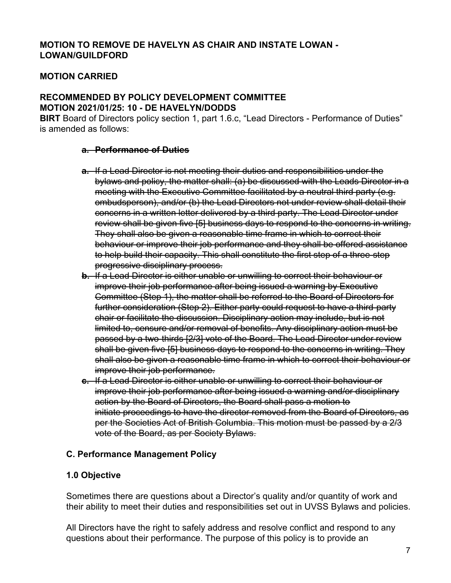## **MOTION TO REMOVE DE HAVELYN AS CHAIR AND INSTATE LOWAN - LOWAN/GUILDFORD**

## **MOTION CARRIED**

### **RECOMMENDED BY POLICY DEVELOPMENT COMMITTEE MOTION 2021/01/25: 10 - DE HAVELYN/DODDS**

**BIRT** Board of Directors policy section 1, part 1.6.c, "Lead Directors - Performance of Duties" is amended as follows:

#### **a. Performance of Duties**

- **a.** If a Lead Director is not meeting their duties and responsibilities under the bylaws and policy, the matter shall: (a) be discussed with the Leads Director in a meeting with the Executive Committee facilitated by a neutral third party (e.g. ombudsperson), and/or (b) the Lead Directors not under review shall detail their concerns in a written letter delivered by a third party. The Lead Director under review shall be given five [5] business days to respond to the concerns in writing. They shall also be given a reasonable time frame in which to correct their behaviour or improve their job performance and they shall be offered assistance to help build their capacity. This shall constitute the first step of a three-step progressive disciplinary process.
- **b.** If a Lead Director is either unable or unwilling to correct their behaviour or improve their job performance after being issued a warning by Executive Committee (Step 1), the matter shall be referred to the Board of Directors for further consideration (Step 2). Either party could request to have a third-party chair or facilitate the discussion. Disciplinary action may include, but is not limited to, censure and/or removal of benefits. Any disciplinary action must be passed by a two-thirds [2/3] vote of the Board. The Lead Director under review shall be given five [5] business days to respond to the concerns in writing. They shall also be given a reasonable time frame in which to correct their behaviour or improve their job performance.
- **c.** If a Lead Director is either unable or unwilling to correct their behaviour or improve their job performance after being issued a warning and/or disciplinary action by the Board of Directors, the Board shall pass a motion to initiate proceedings to have the director removed from the Board of Directors, as per the Societies Act of British Columbia. This motion must be passed by a 2/3 vote of the Board, as per Society Bylaws.

### **C. Performance Management Policy**

### **1.0 Objective**

Sometimes there are questions about a Director's quality and/or quantity of work and their ability to meet their duties and responsibilities set out in UVSS Bylaws and policies.

All Directors have the right to safely address and resolve conflict and respond to any questions about their performance. The purpose of this policy is to provide an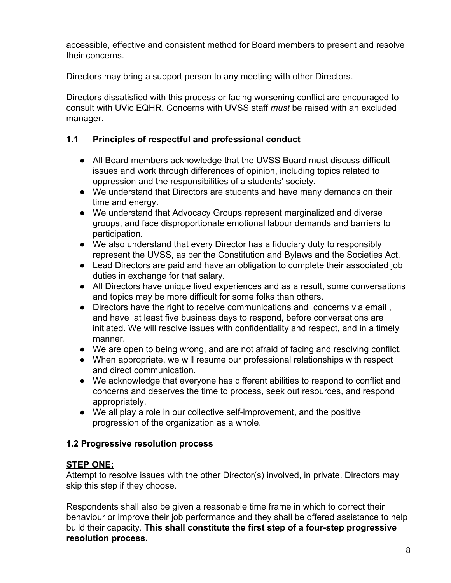accessible, effective and consistent method for Board members to present and resolve their concerns.

Directors may bring a support person to any meeting with other Directors.

Directors dissatisfied with this process or facing worsening conflict are encouraged to consult with UVic EQHR. Concerns with UVSS staff *must* be raised with an excluded manager.

# **1.1 Principles of respectful and professional conduct**

- All Board members acknowledge that the UVSS Board must discuss difficult issues and work through differences of opinion, including topics related to oppression and the responsibilities of a students' society.
- We understand that Directors are students and have many demands on their time and energy.
- We understand that Advocacy Groups represent marginalized and diverse groups, and face disproportionate emotional labour demands and barriers to participation.
- We also understand that every Director has a fiduciary duty to responsibly represent the UVSS, as per the Constitution and Bylaws and the Societies Act.
- Lead Directors are paid and have an obligation to complete their associated job duties in exchange for that salary.
- All Directors have unique lived experiences and as a result, some conversations and topics may be more difficult for some folks than others.
- Directors have the right to receive communications and concerns via email, and have at least five business days to respond, before conversations are initiated. We will resolve issues with confidentiality and respect, and in a timely manner.
- We are open to being wrong, and are not afraid of facing and resolving conflict.
- When appropriate, we will resume our professional relationships with respect and direct communication.
- We acknowledge that everyone has different abilities to respond to conflict and concerns and deserves the time to process, seek out resources, and respond appropriately.
- We all play a role in our collective self-improvement, and the positive progression of the organization as a whole.

# **1.2 Progressive resolution process**

# **STEP ONE:**

Attempt to resolve issues with the other Director(s) involved, in private. Directors may skip this step if they choose.

Respondents shall also be given a reasonable time frame in which to correct their behaviour or improve their job performance and they shall be offered assistance to help build their capacity. **This shall constitute the first step of a four-step progressive resolution process.**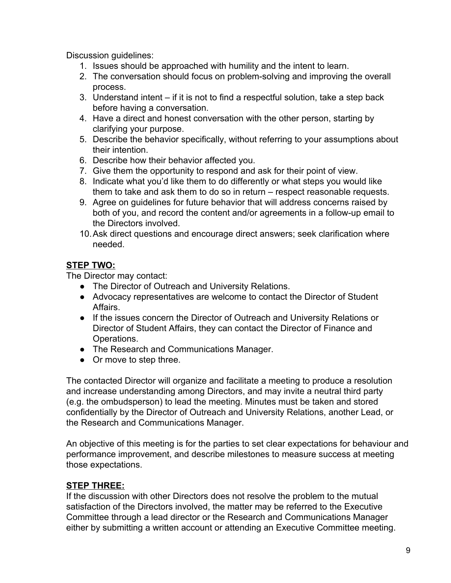Discussion guidelines:

- 1. Issues should be approached with humility and the intent to learn.
- 2. The conversation should focus on problem-solving and improving the overall process.
- 3. Understand intent if it is not to find a respectful solution, take a step back before having a conversation.
- 4. Have a direct and honest conversation with the other person, starting by clarifying your purpose.
- 5. Describe the behavior specifically, without referring to your assumptions about their intention.
- 6. Describe how their behavior affected you.
- 7. Give them the opportunity to respond and ask for their point of view.
- 8. Indicate what you'd like them to do differently or what steps you would like them to take and ask them to do so in return – respect reasonable requests.
- 9. Agree on guidelines for future behavior that will address concerns raised by both of you, and record the content and/or agreements in a follow-up email to the Directors involved.
- 10.Ask direct questions and encourage direct answers; seek clarification where needed.

# **STEP TWO:**

The Director may contact:

- The Director of Outreach and University Relations.
- Advocacy representatives are welcome to contact the Director of Student Affairs.
- If the issues concern the Director of Outreach and University Relations or Director of Student Affairs, they can contact the Director of Finance and Operations.
- The Research and Communications Manager.
- Or move to step three.

The contacted Director will organize and facilitate a meeting to produce a resolution and increase understanding among Directors, and may invite a neutral third party (e.g. the ombudsperson) to lead the meeting. Minutes must be taken and stored confidentially by the Director of Outreach and University Relations, another Lead, or the Research and Communications Manager.

An objective of this meeting is for the parties to set clear expectations for behaviour and performance improvement, and describe milestones to measure success at meeting those expectations.

## **STEP THREE:**

If the discussion with other Directors does not resolve the problem to the mutual satisfaction of the Directors involved, the matter may be referred to the Executive Committee through a lead director or the Research and Communications Manager either by submitting a written account or attending an Executive Committee meeting.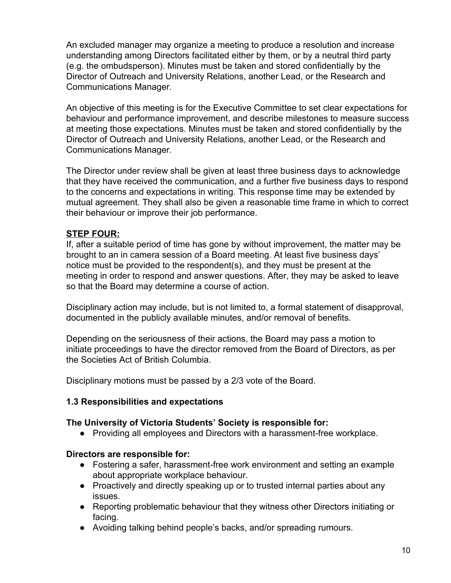An excluded manager may organize a meeting to produce a resolution and increase understanding among Directors facilitated either by them, or by a neutral third party (e.g. the ombudsperson). Minutes must be taken and stored confidentially by the Director of Outreach and University Relations, another Lead, or the Research and Communications Manager.

An objective of this meeting is for the Executive Committee to set clear expectations for behaviour and performance improvement, and describe milestones to measure success at meeting those expectations. Minutes must be taken and stored confidentially by the Director of Outreach and University Relations, another Lead, or the Research and Communications Manager.

The Director under review shall be given at least three business days to acknowledge that they have received the communication, and a further five business days to respond to the concerns and expectations in writing. This response time may be extended by mutual agreement. They shall also be given a reasonable time frame in which to correct their behaviour or improve their job performance.

## **STEP FOUR:**

If, after a suitable period of time has gone by without improvement, the matter may be brought to an in camera session of a Board meeting. At least five business days' notice must be provided to the respondent(s), and they must be present at the meeting in order to respond and answer questions. After, they may be asked to leave so that the Board may determine a course of action.

Disciplinary action may include, but is not limited to, a formal statement of disapproval, documented in the publicly available minutes, and/or removal of benefits.

Depending on the seriousness of their actions, the Board may pass a motion to initiate proceedings to have the director removed from the Board of Directors, as per the Societies Act of British Columbia.

Disciplinary motions must be passed by a 2/3 vote of the Board.

### **1.3 Responsibilities and expectations**

### **The University of Victoria Students' Society is responsible for:**

● Providing all employees and Directors with a harassment-free workplace.

### **Directors are responsible for:**

- Fostering a safer, harassment-free work environment and setting an example about appropriate workplace behaviour.
- Proactively and directly speaking up or to trusted internal parties about any issues.
- Reporting problematic behaviour that they witness other Directors initiating or facing.
- Avoiding talking behind people's backs, and/or spreading rumours.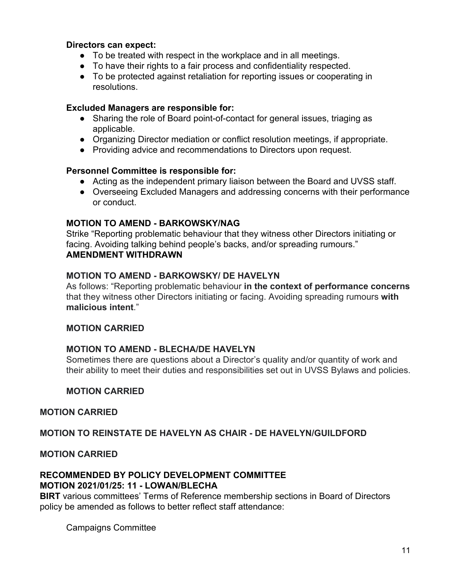### **Directors can expect:**

- To be treated with respect in the workplace and in all meetings.
- To have their rights to a fair process and confidentiality respected.
- To be protected against retaliation for reporting issues or cooperating in resolutions.

#### **Excluded Managers are responsible for:**

- Sharing the role of Board point-of-contact for general issues, triaging as applicable.
- Organizing Director mediation or conflict resolution meetings, if appropriate.
- Providing advice and recommendations to Directors upon request.

#### **Personnel Committee is responsible for:**

- Acting as the independent primary liaison between the Board and UVSS staff.
- Overseeing Excluded Managers and addressing concerns with their performance or conduct.

#### **MOTION TO AMEND - BARKOWSKY/NAG**

Strike "Reporting problematic behaviour that they witness other Directors initiating or facing. Avoiding talking behind people's backs, and/or spreading rumours." **AMENDMENT WITHDRAWN**

### **MOTION TO AMEND - BARKOWSKY/ DE HAVELYN**

As follows: "Reporting problematic behaviour **in the context of performance concerns** that they witness other Directors initiating or facing. Avoiding spreading rumours **with malicious intent**."

#### **MOTION CARRIED**

### **MOTION TO AMEND - BLECHA/DE HAVELYN**

Sometimes there are questions about a Director's quality and/or quantity of work and their ability to meet their duties and responsibilities set out in UVSS Bylaws and policies.

### **MOTION CARRIED**

#### **MOTION CARRIED**

### **MOTION TO REINSTATE DE HAVELYN AS CHAIR - DE HAVELYN/GUILDFORD**

#### **MOTION CARRIED**

### **RECOMMENDED BY POLICY DEVELOPMENT COMMITTEE MOTION 2021/01/25: 11 - LOWAN/BLECHA**

**BIRT** various committees' Terms of Reference membership sections in Board of Directors policy be amended as follows to better reflect staff attendance:

Campaigns Committee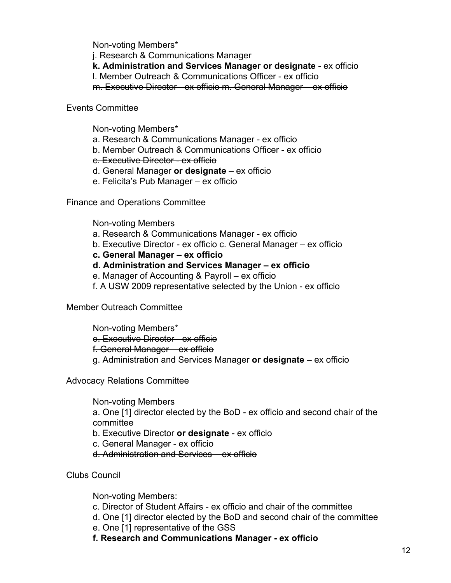Non-voting Members\*

j. Research & Communications Manager

**k. Administration and Services Manager or designate** - ex officio

l. Member Outreach & Communications Officer - ex officio

m. Executive Director - ex officio m. General Manager – ex officio

## Events Committee

Non-voting Members\*

- a. Research & Communications Manager ex officio
- b. Member Outreach & Communications Officer ex officio
- c. Executive Director ex officio
- d. General Manager **or designate**  ex officio
- e. Felicita's Pub Manager ex officio

Finance and Operations Committee

Non-voting Members

- a. Research & Communications Manager ex officio
- b. Executive Director ex officio c. General Manager ex officio
- **c. General Manager ex officio**
- **d. Administration and Services Manager ex officio**
- e. Manager of Accounting & Payroll ex officio
- f. A USW 2009 representative selected by the Union ex officio

Member Outreach Committee

Non-voting Members\* e. Executive Director - ex officio f. General Manager – ex officio g. Administration and Services Manager **or designate** – ex officio

Advocacy Relations Committee

Non-voting Members a. One [1] director elected by the BoD - ex officio and second chair of the committee b. Executive Director **or designate** - ex officio c. General Manager - ex officio d. Administration and Services – ex officio

Clubs Council

Non-voting Members:

- c. Director of Student Affairs ex officio and chair of the committee
- d. One [1] director elected by the BoD and second chair of the committee
- e. One [1] representative of the GSS

**f. Research and Communications Manager - ex officio**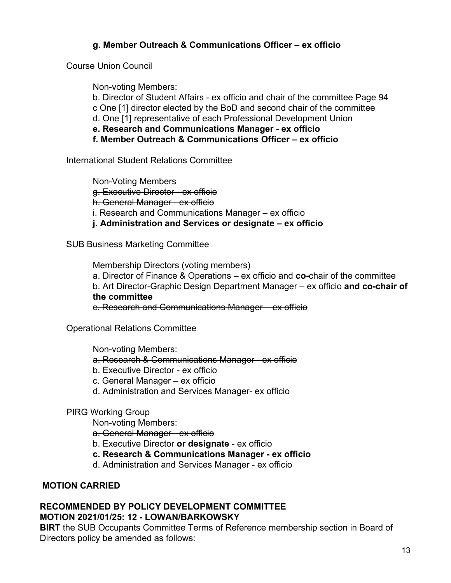## **g. Member Outreach & Communications Officer – ex officio**

Course Union Council

Non-voting Members:

b. Director of Student Affairs - ex officio and chair of the committee Page 94 c One [1] director elected by the BoD and second chair of the committee d. One [1] representative of each Professional Development Union **e. Research and Communications Manager - ex officio**

**f. Member Outreach & Communications Officer – ex officio**

International Student Relations Committee

Non-Voting Members g. Executive Director - ex officio h. General Manager - ex officio i. Research and Communications Manager – ex officio **j. Administration and Services or designate – ex officio**

SUB Business Marketing Committee

Membership Directors (voting members) a. Director of Finance & Operations – ex officio and **co-**chair of the committee b. Art Director-Graphic Design Department Manager – ex officio **and co-chair of the committee** c. Research and Communications Manager – ex officio

Operational Relations Committee

Non-voting Members:

- a. Research & Communications Manager ex officio
- b. Executive Director ex officio
- c. General Manager ex officio
- d. Administration and Services Manager- ex officio

PIRG Working Group

Non-voting Members:

a. General Manager - ex officio

- b. Executive Director **or designate**  ex officio
- **c. Research & Communications Manager ex officio**

d. Administration and Services Manager - ex officio

## **MOTION CARRIED**

## **RECOMMENDED BY POLICY DEVELOPMENT COMMITTEE MOTION 2021/01/25: 12 - LOWAN/BARKOWSKY**

**BIRT** the SUB Occupants Committee Terms of Reference membership section in Board of Directors policy be amended as follows: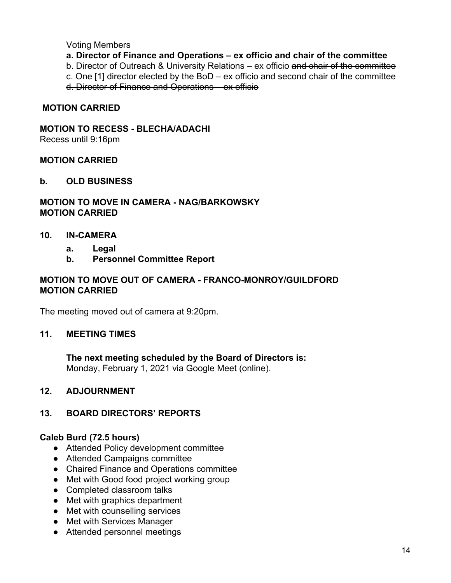#### Voting Members

- **a. Director of Finance and Operations ex officio and chair of the committee**
- b. Director of Outreach & University Relations ex officio and chair of the committee
- c. One [1] director elected by the BoD ex officio and second chair of the committee
- d. Director of Finance and Operations ex officio

### **MOTION CARRIED**

### **MOTION TO RECESS - BLECHA/ADACHI**

Recess until 9:16pm

#### **MOTION CARRIED**

#### **b. OLD BUSINESS**

### **MOTION TO MOVE IN CAMERA - NAG/BARKOWSKY MOTION CARRIED**

#### **10. IN-CAMERA**

- **a. Legal**
- **b. Personnel Committee Report**

### **MOTION TO MOVE OUT OF CAMERA - FRANCO-MONROY/GUILDFORD MOTION CARRIED**

The meeting moved out of camera at 9:20pm.

### **11. MEETING TIMES**

**The next meeting scheduled by the Board of Directors is:** Monday, February 1, 2021 via Google Meet (online).

### **12. ADJOURNMENT**

### **13. BOARD DIRECTORS' REPORTS**

### **Caleb Burd (72.5 hours)**

- Attended Policy development committee
- Attended Campaigns committee
- Chaired Finance and Operations committee
- Met with Good food project working group
- Completed classroom talks
- Met with graphics department
- Met with counselling services
- Met with Services Manager
- Attended personnel meetings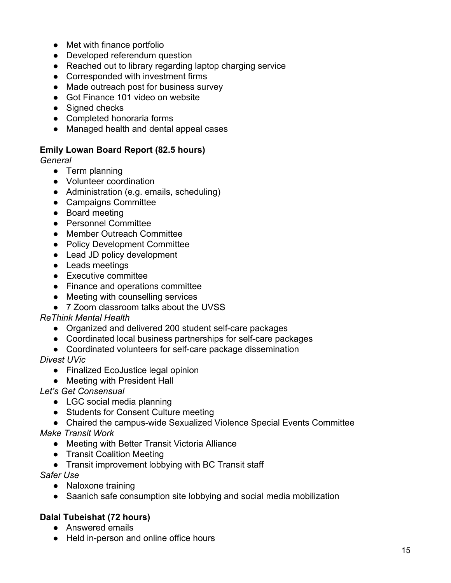- Met with finance portfolio
- Developed referendum question
- Reached out to library regarding laptop charging service
- Corresponded with investment firms
- Made outreach post for business survey
- Got Finance 101 video on website
- Signed checks
- Completed honoraria forms
- Managed health and dental appeal cases

### **Emily Lowan Board Report (82.5 hours)**

*General*

- Term planning
- Volunteer coordination
- Administration (e.g. emails, scheduling)
- Campaigns Committee
- Board meeting
- Personnel Committee
- Member Outreach Committee
- Policy Development Committee
- Lead JD policy development
- Leads meetings
- Executive committee
- Finance and operations committee
- Meeting with counselling services
- 7 Zoom classroom talks about the UVSS

## *ReThink Mental Health*

- Organized and delivered 200 student self-care packages
- Coordinated local business partnerships for self-care packages
- Coordinated volunteers for self-care package dissemination

*Divest UVic*

- Finalized EcoJustice legal opinion
- Meeting with President Hall
- *Let's Get Consensual*
	- LGC social media planning
	- Students for Consent Culture meeting
	- Chaired the campus-wide Sexualized Violence Special Events Committee

*Make Transit Work*

- Meeting with Better Transit Victoria Alliance
- Transit Coalition Meeting
- Transit improvement lobbying with BC Transit staff

*Safer Use*

- Naloxone training
- Saanich safe consumption site lobbying and social media mobilization

## **Dalal Tubeishat (72 hours)**

- Answered emails
- Held in-person and online office hours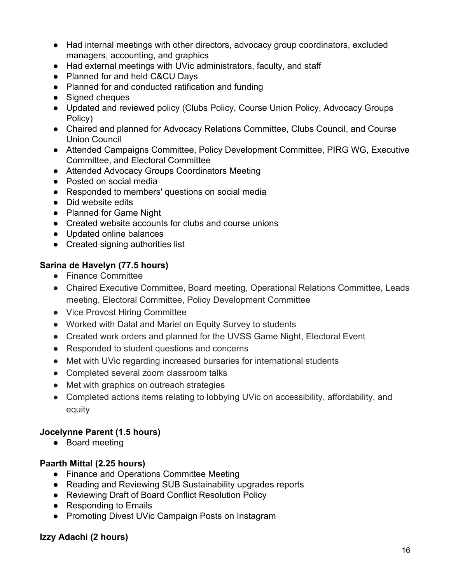- Had internal meetings with other directors, advocacy group coordinators, excluded managers, accounting, and graphics
- Had external meetings with UVic administrators, faculty, and staff
- Planned for and held C&CU Days
- Planned for and conducted ratification and funding
- Signed cheques
- Updated and reviewed policy (Clubs Policy, Course Union Policy, Advocacy Groups Policy)
- Chaired and planned for Advocacy Relations Committee, Clubs Council, and Course Union Council
- Attended Campaigns Committee, Policy Development Committee, PIRG WG, Executive Committee, and Electoral Committee
- Attended Advocacy Groups Coordinators Meeting
- Posted on social media
- Responded to members' questions on social media
- Did website edits
- Planned for Game Night
- Created website accounts for clubs and course unions
- Updated online balances
- Created signing authorities list

## **Sarina de Havelyn (77.5 hours)**

- Finance Committee
- Chaired Executive Committee, Board meeting, Operational Relations Committee, Leads meeting, Electoral Committee, Policy Development Committee
- Vice Provost Hiring Committee
- Worked with Dalal and Mariel on Equity Survey to students
- Created work orders and planned for the UVSS Game Night, Electoral Event
- Responded to student questions and concerns
- Met with UVic regarding increased bursaries for international students
- Completed several zoom classroom talks
- Met with graphics on outreach strategies
- Completed actions items relating to lobbying UVic on accessibility, affordability, and equity

## **Jocelynne Parent (1.5 hours)**

● Board meeting

# **Paarth Mittal (2.25 hours)**

- Finance and Operations Committee Meeting
- Reading and Reviewing SUB Sustainability upgrades reports
- Reviewing Draft of Board Conflict Resolution Policy
- Responding to Emails
- Promoting Divest UVic Campaign Posts on Instagram

# **Izzy Adachi (2 hours)**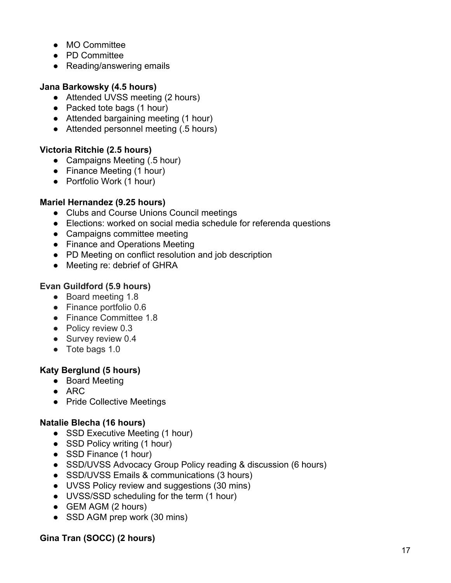- MO Committee
- PD Committee
- Reading/answering emails

## **Jana Barkowsky (4.5 hours)**

- Attended UVSS meeting (2 hours)
- Packed tote bags (1 hour)
- Attended bargaining meeting (1 hour)
- Attended personnel meeting (.5 hours)

## **Victoria Ritchie (2.5 hours)**

- Campaigns Meeting (.5 hour)
- Finance Meeting (1 hour)
- Portfolio Work (1 hour)

## **Mariel Hernandez (9.25 hours)**

- Clubs and Course Unions Council meetings
- Elections: worked on social media schedule for referenda questions
- Campaigns committee meeting
- Finance and Operations Meeting
- PD Meeting on conflict resolution and job description
- Meeting re: debrief of GHRA

# **Evan Guildford (5.9 hours)**

- Board meeting 1.8
- Finance portfolio 0.6
- Finance Committee 1.8
- Policy review 0.3
- Survey review 0.4
- Tote bags 1.0

# **Katy Berglund (5 hours)**

- Board Meeting
- $\bullet$  ARC
- Pride Collective Meetings

## **Natalie Blecha (16 hours)**

- SSD Executive Meeting (1 hour)
- SSD Policy writing (1 hour)
- SSD Finance (1 hour)
- SSD/UVSS Advocacy Group Policy reading & discussion (6 hours)
- SSD/UVSS Emails & communications (3 hours)
- UVSS Policy review and suggestions (30 mins)
- UVSS/SSD scheduling for the term (1 hour)
- GEM AGM (2 hours)
- SSD AGM prep work (30 mins)

## **Gina Tran (SOCC) (2 hours)**